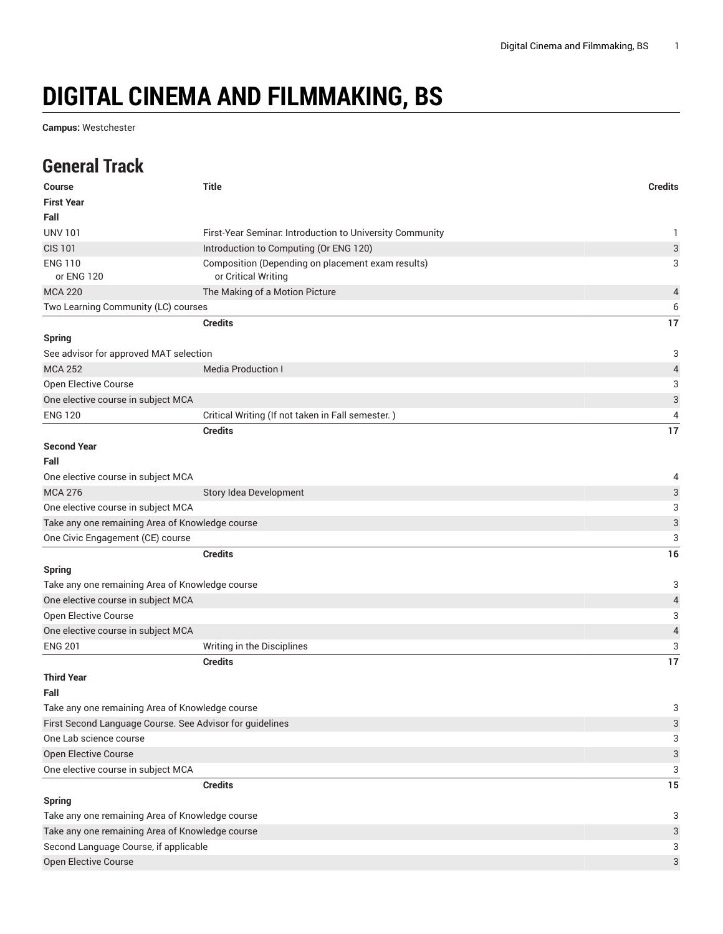## **DIGITAL CINEMA AND FILMMAKING, BS**

**Campus:** Westchester

## **General Track**

| <b>Course</b>                                            | <b>Title</b>                                                             | <b>Credits</b>            |
|----------------------------------------------------------|--------------------------------------------------------------------------|---------------------------|
| <b>First Year</b>                                        |                                                                          |                           |
| Fall                                                     |                                                                          |                           |
| <b>UNV 101</b>                                           | First-Year Seminar. Introduction to University Community                 | 1                         |
| <b>CIS 101</b>                                           | Introduction to Computing (Or ENG 120)                                   | 3                         |
| <b>ENG 110</b><br>or ENG 120                             | Composition (Depending on placement exam results)<br>or Critical Writing | 3                         |
| <b>MCA 220</b>                                           | The Making of a Motion Picture                                           | 4                         |
| Two Learning Community (LC) courses                      |                                                                          | 6                         |
|                                                          | <b>Credits</b>                                                           | 17                        |
| <b>Spring</b>                                            |                                                                          |                           |
| See advisor for approved MAT selection                   |                                                                          | 3                         |
| <b>MCA 252</b>                                           | <b>Media Production I</b>                                                | 4                         |
| Open Elective Course                                     |                                                                          | 3                         |
| One elective course in subject MCA                       |                                                                          | 3                         |
| <b>ENG 120</b>                                           | Critical Writing (If not taken in Fall semester.)                        | 4                         |
|                                                          | <b>Credits</b>                                                           | 17                        |
| <b>Second Year</b><br>Fall                               |                                                                          |                           |
| One elective course in subject MCA                       |                                                                          | 4                         |
| <b>MCA 276</b>                                           | Story Idea Development                                                   | 3                         |
| One elective course in subject MCA                       |                                                                          | 3                         |
| Take any one remaining Area of Knowledge course          |                                                                          | 3                         |
| One Civic Engagement (CE) course                         |                                                                          | 3                         |
|                                                          | <b>Credits</b>                                                           | 16                        |
| <b>Spring</b>                                            |                                                                          |                           |
| Take any one remaining Area of Knowledge course          |                                                                          | 3                         |
| One elective course in subject MCA                       |                                                                          | 4                         |
| Open Elective Course                                     |                                                                          | 3                         |
| One elective course in subject MCA                       |                                                                          | 4                         |
| <b>ENG 201</b>                                           | Writing in the Disciplines                                               | 3                         |
|                                                          | <b>Credits</b>                                                           | 17                        |
| <b>Third Year</b>                                        |                                                                          |                           |
| Fall                                                     |                                                                          |                           |
| Take any one remaining Area of Knowledge course          |                                                                          | 3                         |
| First Second Language Course. See Advisor for guidelines |                                                                          | $\ensuremath{\mathsf{3}}$ |
| One Lab science course                                   |                                                                          | 3                         |
| <b>Open Elective Course</b>                              |                                                                          | 3                         |
| One elective course in subject MCA                       |                                                                          | 3                         |
|                                                          | <b>Credits</b>                                                           | 15                        |
| <b>Spring</b>                                            |                                                                          |                           |
| Take any one remaining Area of Knowledge course          |                                                                          |                           |
| Take any one remaining Area of Knowledge course          |                                                                          | 3                         |
| Second Language Course, if applicable                    |                                                                          | 3                         |
| Open Elective Course                                     |                                                                          | 3                         |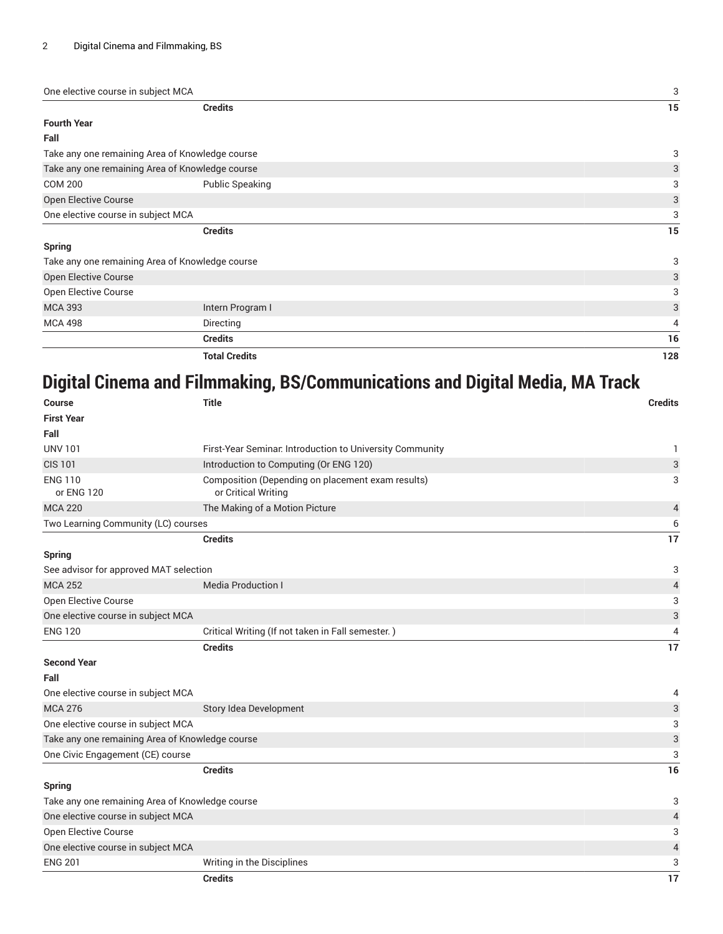| One elective course in subject MCA |                                                 | 3   |
|------------------------------------|-------------------------------------------------|-----|
|                                    | <b>Credits</b>                                  | 15  |
| <b>Fourth Year</b>                 |                                                 |     |
| Fall                               |                                                 |     |
|                                    | Take any one remaining Area of Knowledge course | 3   |
|                                    | Take any one remaining Area of Knowledge course | 3   |
| <b>COM 200</b>                     | <b>Public Speaking</b>                          | 3   |
| Open Elective Course               |                                                 | 3   |
| One elective course in subject MCA |                                                 | 3   |
|                                    | <b>Credits</b>                                  | 15  |
| <b>Spring</b>                      |                                                 |     |
|                                    | Take any one remaining Area of Knowledge course | 3   |
| Open Elective Course               |                                                 | 3   |
| Open Elective Course               |                                                 | 3   |
| <b>MCA 393</b>                     | Intern Program I                                | 3   |
| <b>MCA 498</b>                     | Directing                                       | 4   |
|                                    | <b>Credits</b>                                  | 16  |
|                                    | <b>Total Credits</b>                            | 128 |

## **Digital Cinema and Filmmaking, BS/Communications and Digital Media, MA Track**

| Course                                          | <b>Title</b>                                                             | <b>Credits</b>            |
|-------------------------------------------------|--------------------------------------------------------------------------|---------------------------|
| <b>First Year</b>                               |                                                                          |                           |
| Fall                                            |                                                                          |                           |
| <b>UNV 101</b>                                  | First-Year Seminar. Introduction to University Community                 | 1                         |
| <b>CIS 101</b>                                  | Introduction to Computing (Or ENG 120)                                   | $\ensuremath{\mathsf{3}}$ |
| <b>ENG 110</b><br>or ENG 120                    | Composition (Depending on placement exam results)<br>or Critical Writing | 3                         |
| <b>MCA 220</b>                                  | The Making of a Motion Picture                                           | $\overline{a}$            |
| Two Learning Community (LC) courses             |                                                                          | 6                         |
|                                                 | <b>Credits</b>                                                           | 17                        |
| <b>Spring</b>                                   |                                                                          |                           |
| See advisor for approved MAT selection          |                                                                          | 3                         |
| <b>MCA 252</b>                                  | <b>Media Production I</b>                                                | $\overline{4}$            |
| Open Elective Course                            |                                                                          | 3                         |
| One elective course in subject MCA              |                                                                          | $\ensuremath{\mathsf{3}}$ |
| <b>ENG 120</b>                                  | Critical Writing (If not taken in Fall semester.)                        | 4                         |
|                                                 | <b>Credits</b>                                                           | 17                        |
| <b>Second Year</b>                              |                                                                          |                           |
| Fall                                            |                                                                          |                           |
| One elective course in subject MCA              |                                                                          | 4                         |
| <b>MCA 276</b>                                  | Story Idea Development                                                   | $\ensuremath{\mathsf{3}}$ |
| One elective course in subject MCA              |                                                                          | 3                         |
| Take any one remaining Area of Knowledge course |                                                                          | $\ensuremath{\mathsf{3}}$ |
| One Civic Engagement (CE) course                |                                                                          | 3                         |
|                                                 | <b>Credits</b>                                                           | 16                        |
| Spring                                          |                                                                          |                           |
| Take any one remaining Area of Knowledge course |                                                                          | 3                         |
| One elective course in subject MCA              |                                                                          | $\overline{4}$            |
| <b>Open Elective Course</b>                     |                                                                          | 3                         |
| One elective course in subject MCA              |                                                                          | $\sqrt{4}$                |
| <b>ENG 201</b>                                  | Writing in the Disciplines                                               | 3                         |
|                                                 | <b>Credits</b>                                                           | 17                        |